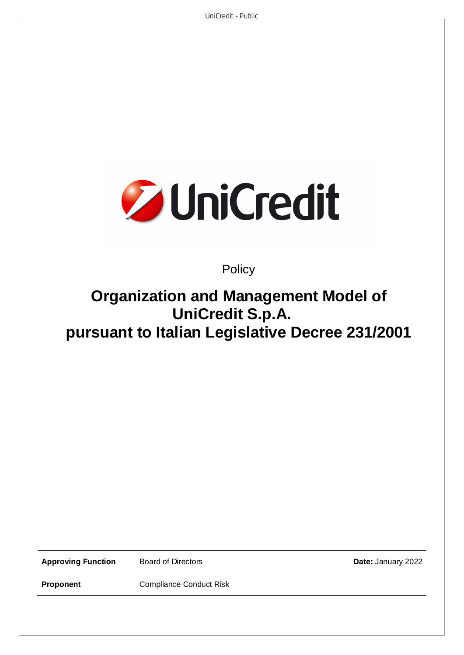

# **Policy**

# **Organization and Management Model of UniCredit S.p.A. pursuant to Italian Legislative Decree 231/2001**

**Approving Function Board of Directors Date: January 2022** 

**Proponent Compliance Conduct Risk**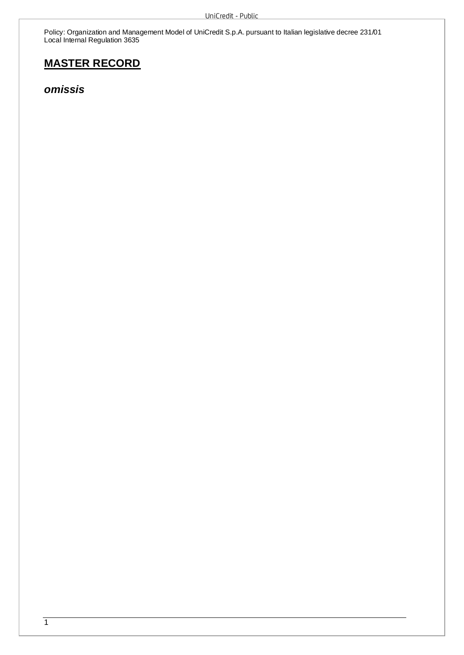# **MASTER RECORD**

*omissis*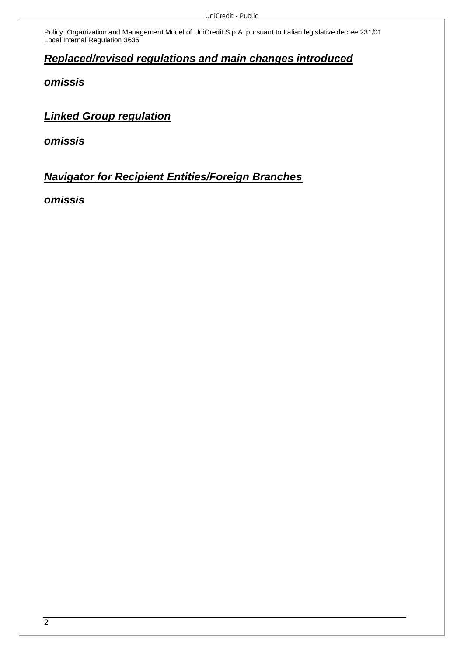# *Replaced/revised regulations and main changes introduced*

*omissis* 

*Linked Group regulation* 

*omissis* 

*Navigator for Recipient Entities/Foreign Branches* 

*omissis*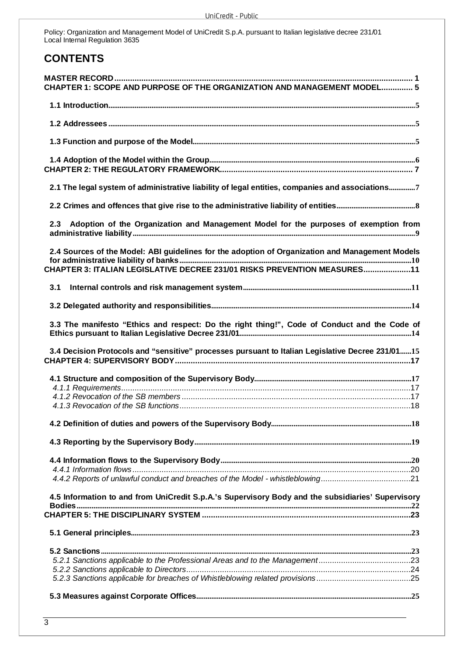# **CONTENTS**

| CHAPTER 1: SCOPE AND PURPOSE OF THE ORGANIZATION AND MANAGEMENT MODEL 5                                                                                                     |
|-----------------------------------------------------------------------------------------------------------------------------------------------------------------------------|
|                                                                                                                                                                             |
|                                                                                                                                                                             |
|                                                                                                                                                                             |
|                                                                                                                                                                             |
|                                                                                                                                                                             |
| 2.1 The legal system of administrative liability of legal entities, companies and associations7                                                                             |
|                                                                                                                                                                             |
| Adoption of the Organization and Management Model for the purposes of exemption from<br>2.3                                                                                 |
| 2.4 Sources of the Model: ABI guidelines for the adoption of Organization and Management Models<br>CHAPTER 3: ITALIAN LEGISLATIVE DECREE 231/01 RISKS PREVENTION MEASURES11 |
| 3.1                                                                                                                                                                         |
|                                                                                                                                                                             |
| 3.3 The manifesto "Ethics and respect: Do the right thing!", Code of Conduct and the Code of                                                                                |
|                                                                                                                                                                             |
| 3.4 Decision Protocols and "sensitive" processes pursuant to Italian Legislative Decree 231/0115                                                                            |
|                                                                                                                                                                             |
|                                                                                                                                                                             |
|                                                                                                                                                                             |
|                                                                                                                                                                             |
|                                                                                                                                                                             |
|                                                                                                                                                                             |
|                                                                                                                                                                             |
|                                                                                                                                                                             |
|                                                                                                                                                                             |
| 4.5 Information to and from UniCredit S.p.A.'s Supervisory Body and the subsidiaries' Supervisory                                                                           |
|                                                                                                                                                                             |
|                                                                                                                                                                             |
|                                                                                                                                                                             |
|                                                                                                                                                                             |
|                                                                                                                                                                             |
|                                                                                                                                                                             |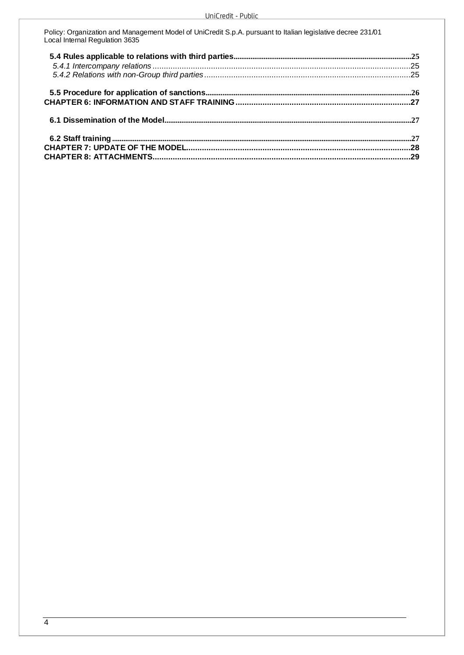| Policy: Organization and Management Model of UniCredit S.p.A. pursuant to Italian legislative decree 231/01<br>Local Internal Regulation 3635 |  |
|-----------------------------------------------------------------------------------------------------------------------------------------------|--|
|                                                                                                                                               |  |
|                                                                                                                                               |  |
|                                                                                                                                               |  |
|                                                                                                                                               |  |
|                                                                                                                                               |  |
|                                                                                                                                               |  |
|                                                                                                                                               |  |
|                                                                                                                                               |  |
|                                                                                                                                               |  |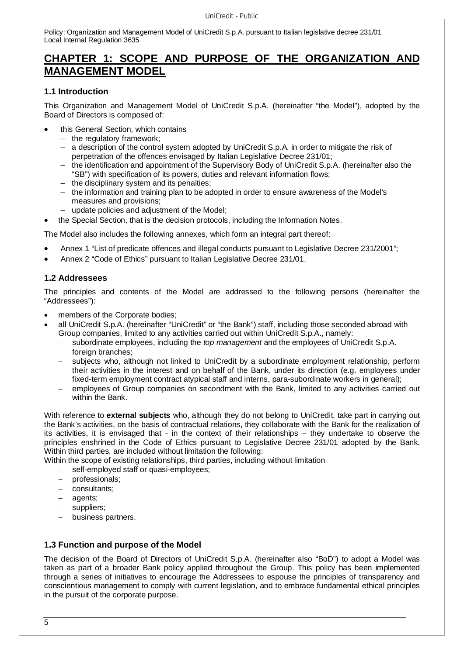# **CHAPTER 1: SCOPE AND PURPOSE OF THE ORGANIZATION AND MANAGEMENT MODEL**

# **1.1 Introduction**

This Organization and Management Model of UniCredit S.p.A. (hereinafter "the Model"), adopted by the Board of Directors is composed of:

- this General Section, which contains
	- the regulatory framework;
	- a description of the control system adopted by UniCredit S.p.A. in order to mitigate the risk of perpetration of the offences envisaged by Italian Legislative Decree 231/01;
	- the identification and appointment of the Supervisory Body of UniCredit S.p.A. (hereinafter also the "SB") with specification of its powers, duties and relevant information flows;
	- the disciplinary system and its penalties;
	- the information and training plan to be adopted in order to ensure awareness of the Model's measures and provisions;
	- update policies and adjustment of the Model;
- the Special Section, that is the decision protocols, including the Information Notes.

The Model also includes the following annexes, which form an integral part thereof:

- Annex 1 "List of predicate offences and illegal conducts pursuant to Legislative Decree 231/2001";
- Annex 2 "Code of Ethics" pursuant to Italian Legislative Decree 231/01.

# **1.2 Addressees**

The principles and contents of the Model are addressed to the following persons (hereinafter the "Addressees"):

- members of the Corporate bodies;
- all UniCredit S.p.A. (hereinafter "UniCredit" or "the Bank") staff, including those seconded abroad with Group companies, limited to any activities carried out within UniCredit S.p.A., namely:
	- subordinate employees, including the *top management* and the employees of UniCredit S.p.A. foreign branches;
	- subjects who, although not linked to UniCredit by a subordinate employment relationship, perform their activities in the interest and on behalf of the Bank, under its direction (e.g. employees under fixed-term employment contract atypical staff and interns, para-subordinate workers in general);
	- employees of Group companies on secondment with the Bank, limited to any activities carried out within the Bank.

With reference to **external subjects** who, although they do not belong to UniCredit, take part in carrying out the Bank's activities, on the basis of contractual relations, they collaborate with the Bank for the realization of its activities, it is envisaged that - in the context of their relationships – they undertake to observe the principles enshrined in the Code of Ethics pursuant to Legislative Decree 231/01 adopted by the Bank. Within third parties, are included without limitation the following:

Within the scope of existing relationships, third parties, including without limitation

- self-employed staff or quasi-employees;
- professionals;
- consultants;
- agents;
- suppliers:
- business partners.

# **1.3 Function and purpose of the Model**

The decision of the Board of Directors of UniCredit S.p.A. (hereinafter also "BoD") to adopt a Model was taken as part of a broader Bank policy applied throughout the Group. This policy has been implemented through a series of initiatives to encourage the Addressees to espouse the principles of transparency and conscientious management to comply with current legislation, and to embrace fundamental ethical principles in the pursuit of the corporate purpose.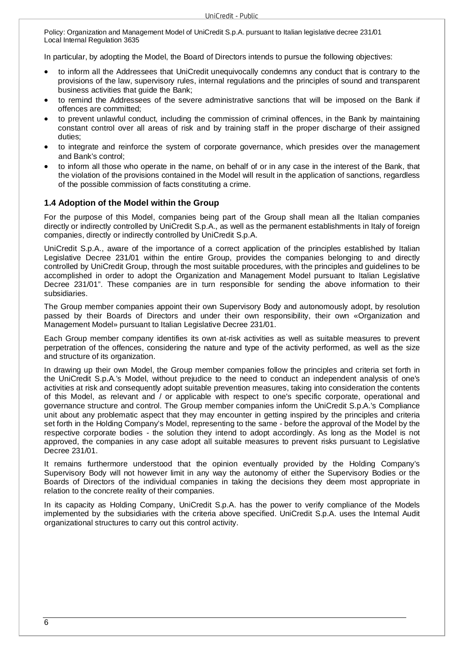In particular, by adopting the Model, the Board of Directors intends to pursue the following objectives:

- to inform all the Addressees that UniCredit unequivocally condemns any conduct that is contrary to the provisions of the law, supervisory rules, internal regulations and the principles of sound and transparent business activities that guide the Bank;
- to remind the Addressees of the severe administrative sanctions that will be imposed on the Bank if offences are committed;
- to prevent unlawful conduct, including the commission of criminal offences, in the Bank by maintaining constant control over all areas of risk and by training staff in the proper discharge of their assigned duties;
- to integrate and reinforce the system of corporate governance, which presides over the management and Bank's control;
- to inform all those who operate in the name, on behalf of or in any case in the interest of the Bank, that the violation of the provisions contained in the Model will result in the application of sanctions, regardless of the possible commission of facts constituting a crime.

# **1.4 Adoption of the Model within the Group**

For the purpose of this Model, companies being part of the Group shall mean all the Italian companies directly or indirectly controlled by UniCredit S.p.A., as well as the permanent establishments in Italy of foreign companies, directly or indirectly controlled by UniCredit S.p.A.

UniCredit S.p.A., aware of the importance of a correct application of the principles established by Italian Legislative Decree 231/01 within the entire Group, provides the companies belonging to and directly controlled by UniCredit Group, through the most suitable procedures, with the principles and guidelines to be accomplished in order to adopt the Organization and Management Model pursuant to Italian Legislative Decree 231/01". These companies are in turn responsible for sending the above information to their subsidiaries.

The Group member companies appoint their own Supervisory Body and autonomously adopt, by resolution passed by their Boards of Directors and under their own responsibility, their own «Organization and Management Model» pursuant to Italian Legislative Decree 231/01.

Each Group member company identifies its own at-risk activities as well as suitable measures to prevent perpetration of the offences, considering the nature and type of the activity performed, as well as the size and structure of its organization.

In drawing up their own Model, the Group member companies follow the principles and criteria set forth in the UniCredit S.p.A.'s Model, without prejudice to the need to conduct an independent analysis of one's activities at risk and consequently adopt suitable prevention measures, taking into consideration the contents of this Model, as relevant and / or applicable with respect to one's specific corporate, operational and governance structure and control. The Group member companies inform the UniCredit S.p.A.'s Compliance unit about any problematic aspect that they may encounter in getting inspired by the principles and criteria set forth in the Holding Company's Model, representing to the same - before the approval of the Model by the respective corporate bodies - the solution they intend to adopt accordingly. As long as the Model is not approved, the companies in any case adopt all suitable measures to prevent risks pursuant to Legislative Decree 231/01.

It remains furthermore understood that the opinion eventually provided by the Holding Company's Supervisory Body will not however limit in any way the autonomy of either the Supervisory Bodies or the Boards of Directors of the individual companies in taking the decisions they deem most appropriate in relation to the concrete reality of their companies.

In its capacity as Holding Company, UniCredit S.p.A. has the power to verify compliance of the Models implemented by the subsidiaries with the criteria above specified. UniCredit S.p.A. uses the Internal Audit organizational structures to carry out this control activity.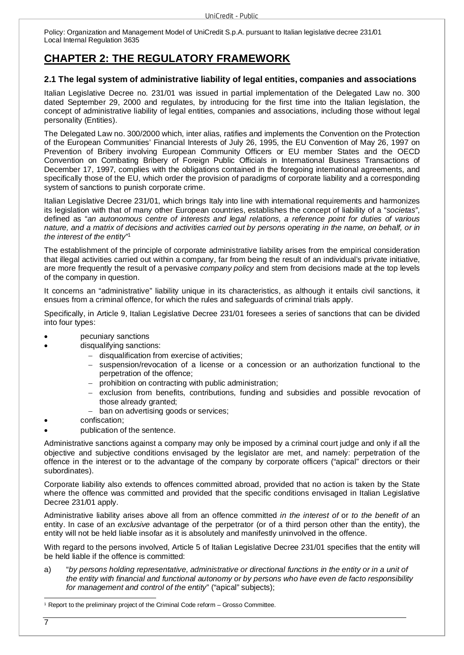# **CHAPTER 2: THE REGULATORY FRAMEWORK**

# **2.1 The legal system of administrative liability of legal entities, companies and associations**

Italian Legislative Decree no. 231/01 was issued in partial implementation of the Delegated Law no. 300 dated September 29, 2000 and regulates, by introducing for the first time into the Italian legislation, the concept of administrative liability of legal entities, companies and associations, including those without legal personality (Entities).

The Delegated Law no. 300/2000 which, inter alias, ratifies and implements the Convention on the Protection of the European Communities' Financial Interests of July 26, 1995, the EU Convention of May 26, 1997 on Prevention of Bribery involving European Community Officers or EU member States and the OECD Convention on Combating Bribery of Foreign Public Officials in International Business Transactions of December 17, 1997, complies with the obligations contained in the foregoing international agreements, and specifically those of the EU, which order the provision of paradigms of corporate liability and a corresponding system of sanctions to punish corporate crime.

Italian Legislative Decree 231/01, which brings Italy into line with international requirements and harmonizes its legislation with that of many other European countries, establishes the concept of liability of a "*societas*", defined as "*an autonomous centre of interests and legal relations, a reference point for duties of various nature, and a matrix of decisions and activities carried out by persons operating in the name, on behalf, or in the interest of the entity*" 1

The establishment of the principle of corporate administrative liability arises from the empirical consideration that illegal activities carried out within a company, far from being the result of an individual's private initiative, are more frequently the result of a pervasive *company policy* and stem from decisions made at the top levels of the company in question.

It concerns an "administrative" liability unique in its characteristics, as although it entails civil sanctions, it ensues from a criminal offence, for which the rules and safeguards of criminal trials apply.

Specifically, in Article 9, Italian Legislative Decree 231/01 foresees a series of sanctions that can be divided into four types:

- pecuniary sanctions
- disqualifying sanctions:
	- disqualification from exercise of activities;
	- $-$  suspension/revocation of a license or a concession or an authorization functional to the perpetration of the offence;
	- prohibition on contracting with public administration;
	- exclusion from benefits, contributions, funding and subsidies and possible revocation of those already granted;
	- ban on advertising goods or services:
- confiscation;
- publication of the sentence.

Administrative sanctions against a company may only be imposed by a criminal court judge and only if all the objective and subjective conditions envisaged by the legislator are met, and namely: perpetration of the offence in the interest or to the advantage of the company by corporate officers ("apical" directors or their subordinates).

Corporate liability also extends to offences committed abroad, provided that no action is taken by the State where the offence was committed and provided that the specific conditions envisaged in Italian Legislative Decree 231/01 apply.

Administrative liability arises above all from an offence committed *in the interest of* or *to the benefit of* an entity. In case of an *exclusive* advantage of the perpetrator (or of a third person other than the entity), the entity will not be held liable insofar as it is absolutely and manifestly uninvolved in the offence.

With regard to the persons involved, Article 5 of Italian Legislative Decree 231/01 specifies that the entity will be held liable if the offence is committed:

a) "*by persons holding representative, administrative or directional functions in the entity or in a unit of the entity with financial and functional autonomy or by persons who have even de facto responsibility for management and control of the entity*" ("apical" subjects);

<sup>1</sup> Report to the preliminary project of the Criminal Code reform – Grosso Committee.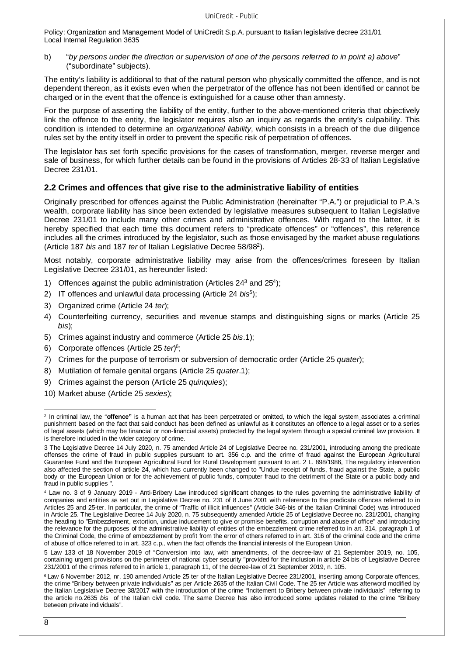b) "*by persons under the direction or supervision of one of the persons referred to in point a) above*" ("subordinate" subjects).

The entity's liability is additional to that of the natural person who physically committed the offence, and is not dependent thereon, as it exists even when the perpetrator of the offence has not been identified or cannot be charged or in the event that the offence is extinguished for a cause other than amnesty.

For the purpose of asserting the liability of the entity, further to the above-mentioned criteria that objectively link the offence to the entity, the legislator requires also an inquiry as regards the entity's culpability. This condition is intended to determine an *organizational liability*, which consists in a breach of the due diligence rules set by the entity itself in order to prevent the specific risk of perpetration of offences.

The legislator has set forth specific provisions for the cases of transformation, merger, reverse merger and sale of business, for which further details can be found in the provisions of Articles 28-33 of Italian Legislative Decree 231/01.

# **2.2 Crimes and offences that give rise to the administrative liability of entities**

Originally prescribed for offences against the Public Administration (hereinafter "P.A.") or prejudicial to P.A.'s wealth, corporate liability has since been extended by legislative measures subsequent to Italian Legislative Decree 231/01 to include many other crimes and administrative offences. With regard to the latter, it is hereby specified that each time this document refers to "predicate offences" or "offences", this reference includes all the crimes introduced by the legislator, such as those envisaged by the market abuse regulations (Article 187 *bis* and 187 *ter* of Italian Legislative Decree 58/98<sup>2</sup> ).

Most notably, corporate administrative liability may arise from the offences/crimes foreseen by Italian Legislative Decree 231/01, as hereunder listed:

- 1) Offences against the public administration (Articles 24<sup>3</sup> and 25<sup>4</sup>);
- 2) IT offences and unlawful data processing (Article 24 *bis<sup>5</sup>* );
- 3) Organized crime (Article 24 *ter*);
- 4) Counterfeiting currency, securities and revenue stamps and distinguishing signs or marks (Article 25 *bis*);
- 5) Crimes against industry and commerce (Article 25 *bis*.1);
- 6) Corporate offences (Article 25 *ter*) 6 ;
- 7) Crimes for the purpose of terrorism or subversion of democratic order (Article 25 *quater*);
- 8) Mutilation of female genital organs (Article 25 *quater*.1);
- 9) Crimes against the person (Article 25 *quinquies*);
- 10) Market abuse (Article 25 *sexies*);

<sup>&</sup>lt;sup>2</sup> In criminal law, the "**offence**" is a human act that has been perpetrated or omitted, to which the legal system\_associates a criminal punishment based on the fact that said conduct has been defined as unlawful as it constitutes an offence to a legal asset or to a series of legal assets (which may be financial or non-financial assets) protected by the legal system through a special criminal law provision. It is therefore included in the wider category of crime.

<sup>3</sup> The Legislative Decree 14 July 2020, n. 75 amended Article 24 of Legislative Decree no. 231/2001, introducing among the predicate offenses the crime of fraud in public supplies pursuant to art. 356 c.p. and the crime of fraud against the European Agricultural Guarantee Fund and the European Agricultural Fund for Rural Development pursuant to art. 2 L. 898/1986, The regulatory intervention also affected the section of article 24, which has currently been changed to "Undue receipt of funds, fraud against the State, a public body or the European Union or for the achievement of public funds, computer fraud to the detriment of the State or a public body and fraud in public supplies ".

Law no. 3 of 9 January 2019 - Anti-Bribery Law introduced significant changes to the rules governing the administrative liability of companies and entities as set out in Legislative Decree no. 231 of 8 June 2001 with reference to the predicate offences referred to in Articles 25 and 25-ter. In particular, the crime of "Traffic of illicit influences" (Article 346-bis of the Italian Criminal Code) was introduced in Article 25. The Legislative Decree 14 July 2020, n. 75 subsequently amended Article 25 of Legislative Decree no. 231/2001, changing the heading to "Embezzlement, extortion, undue inducement to give or promise benefits, corruption and abuse of office" and introducing the relevance for the purposes of the administrative liability of entities of the embezzlement crime referred to in art. 314, paragraph 1 of the Criminal Code, the crime of embezzlement by profit from the error of others referred to in art. 316 of the criminal code and the crime of abuse of office referred to in art. 323 c.p., when the fact offends the financial interests of the European Union.

<sup>5</sup> Law 133 of 18 November 2019 of "Conversion into law, with amendments, of the decree-law of 21 September 2019, no. 105, containing urgent provisions on the perimeter of national cyber security "provided for the inclusion in article 24 bis of Legislative Decree 231/2001 of the crimes referred to in article 1, paragraph 11, of the decree-law of 21 September 2019, n. 105.

<sup>&</sup>lt;sup>6</sup> Law 6 November 2012, nr. 190 amended Article 25 ter of the Italian Legislative Decree 231/2001, inserting among Corporate offences, the crime "Bribery between private individuals" as per Article 2635 of the Italian Civil Code. The 25 *ter* Article was afterword modified by the Italian Legislative Decree 38/2017 with the introduction of the crime "Incitement to Bribery between private individuals" referring to the article no.2635 *bis* of the Italian civil code. The same Decree has also introduced some updates related to the crime "Bribery between private individuals".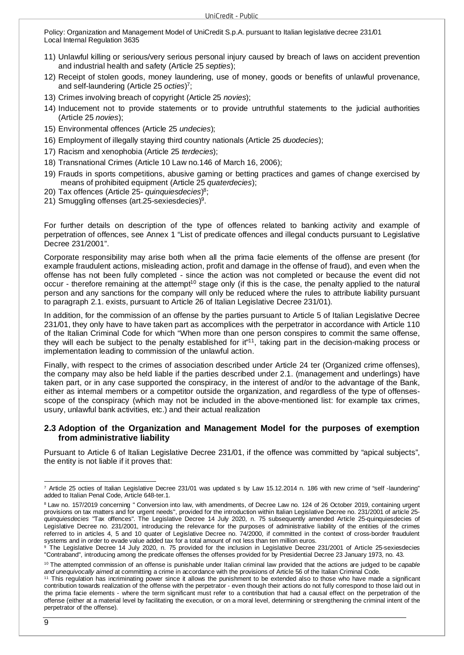- 11) Unlawful killing or serious/very serious personal injury caused by breach of laws on accident prevention and industrial health and safety (Article 25 *septies*);
- 12) Receipt of stolen goods, money laundering, use of money, goods or benefits of unlawful provenance, and self-laundering (Article 25 *octies*) 7 ;
- 13) Crimes involving breach of copyright (Article 25 *novies*);
- 14) Inducement not to provide statements or to provide untruthful statements to the judicial authorities (Article 25 *novies*);
- 15) Environmental offences (Article 25 *undecies*);
- 16) Employment of illegally staying third country nationals (Article 25 *duodecies*);
- 17) Racism and xenophobia (Article 25 *terdecies*);
- 18) Transnational Crimes (Article 10 Law no.146 of March 16, 2006);
- 19) Frauds in sports competitions, abusive gaming or betting practices and games of change exercised by means of prohibited equipment (Article 25 *quaterdecies*);
- 20) Tax offences (Article 25- *quinquiesdecies*) 8 ;
- 21) Smuggling offenses (art.25-sexiesdecies)<sup>9</sup>.

For further details on description of the type of offences related to banking activity and example of perpetration of offences, see Annex 1 "List of predicate offences and illegal conducts pursuant to Legislative Decree 231/2001".

Corporate responsibility may arise both when all the prima facie elements of the offense are present (for example fraudulent actions, misleading action, profit and damage in the offense of fraud), and even when the offense has not been fully completed - since the action was not completed or because the event did not occur - therefore remaining at the attempt<sup>10</sup> stage only (if this is the case, the penalty applied to the natural person and any sanctions for the company will only be reduced where the rules to attribute liability pursuant to paragraph 2.1. exists, pursuant to Article 26 of Italian Legislative Decree 231/01).

In addition, for the commission of an offense by the parties pursuant to Article 5 of Italian Legislative Decree 231/01, they only have to have taken part as accomplices with the perpetrator in accordance with Article 110 of the Italian Criminal Code for which "When more than one person conspires to commit the same offense, they will each be subject to the penalty established for it<sup>"11</sup>, taking part in the decision-making process or implementation leading to commission of the unlawful action.

Finally, with respect to the crimes of association described under Article 24 ter (Organized crime offenses), the company may also be held liable if the parties described under 2.1. (management and underlings) have taken part, or in any case supported the conspiracy, in the interest of and/or to the advantage of the Bank, either as internal members or a competitor outside the organization, and regardless of the type of offensesscope of the conspiracy (which may not be included in the above-mentioned list: for example tax crimes, usury, unlawful bank activities, etc.) and their actual realization

#### **2.3 Adoption of the Organization and Management Model for the purposes of exemption from administrative liability**

Pursuant to Article 6 of Italian Legislative Decree 231/01, if the offence was committed by "apical subjects", the entity is not liable if it proves that:

<sup>7</sup> Article 25 octies of Italian Legislative Decree 231/01 was updated s by Law 15.12.2014 n. 186 with new crime of "self -laundering" added to Italian Penal Code, Article 648-ter.1.

<sup>8</sup>Law no. 157/2019 concerning " Conversion into law, with amendments, of Decree Law no. 124 of 26 October 2019, containing urgent provisions on tax matters and for urgent needs", provided for the introduction within Italian Legislative Decree no. 231/2001 of article 25 *quinquiesdecies* "Tax offences". The Legislative Decree 14 July 2020, n. 75 subsequently amended Article 25-quinquiesdecies of Legislative Decree no. 231/2001, introducing the relevance for the purposes of administrative liability of the entities of the crimes referred to in articles 4, 5 and 10 quater of Legislative Decree no. 74/2000, if committed in the context of cross-border fraudulent systems and in order to evade value added tax for a total amount of not less than ten million euros.

<sup>9</sup> The Legislative Decree 14 July 2020, n. 75 provided for the inclusion in Legislative Decree 231/2001 of Article 25-sexiesdecies "Contraband", introducing among the predicate offenses the offenses provided for by Presidential Decree 23 January 1973, no. 43.

<sup>10</sup>The attempted commission of an offense is punishable under Italian criminal law provided that the actions are judged to be *capable and unequivocally aimed* at committing a crime in accordance with the provisions of Article 56 of the Italian Criminal Code.

<sup>11</sup> This regulation has incriminating power since it allows the punishment to be extended also to those who have made a significant contribution towards realization of the offense with the perpetrator - even though their actions do not fully correspond to those laid out in the prima facie elements - where the term significant must refer to a contribution that had a causal effect on the perpetration of the offense (either at a material level by facilitating the execution, or on a moral level, determining or strengthening the criminal intent of the perpetrator of the offense).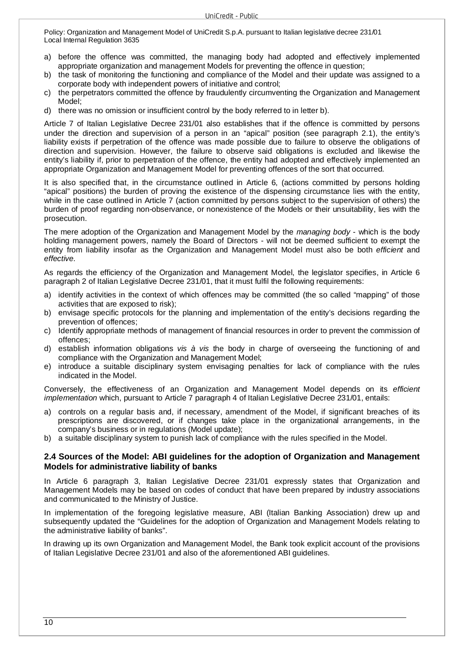- a) before the offence was committed, the managing body had adopted and effectively implemented appropriate organization and management Models for preventing the offence in question;
- b) the task of monitoring the functioning and compliance of the Model and their update was assigned to a corporate body with independent powers of initiative and control;
- c) the perpetrators committed the offence by fraudulently circumventing the Organization and Management Model;
- d) there was no omission or insufficient control by the body referred to in letter b).

Article 7 of Italian Legislative Decree 231/01 also establishes that if the offence is committed by persons under the direction and supervision of a person in an "apical" position (see paragraph 2.1), the entity's liability exists if perpetration of the offence was made possible due to failure to observe the obligations of direction and supervision. However, the failure to observe said obligations is excluded and likewise the entity's liability if, prior to perpetration of the offence, the entity had adopted and effectively implemented an appropriate Organization and Management Model for preventing offences of the sort that occurred.

It is also specified that, in the circumstance outlined in Article 6, (actions committed by persons holding "apical" positions) the burden of proving the existence of the dispensing circumstance lies with the entity, while in the case outlined in Article 7 (action committed by persons subject to the supervision of others) the burden of proof regarding non-observance, or nonexistence of the Models or their unsuitability, lies with the prosecution.

The mere adoption of the Organization and Management Model by the *managing body* - which is the body holding management powers, namely the Board of Directors - will not be deemed sufficient to exempt the entity from liability insofar as the Organization and Management Model must also be both *efficient* and *effective*.

As regards the efficiency of the Organization and Management Model, the legislator specifies, in Article 6 paragraph 2 of Italian Legislative Decree 231/01, that it must fulfil the following requirements:

- a) identify activities in the context of which offences may be committed (the so called "mapping" of those activities that are exposed to risk);
- b) envisage specific protocols for the planning and implementation of the entity's decisions regarding the prevention of offences;
- c) Identify appropriate methods of management of financial resources in order to prevent the commission of offences;
- d) establish information obligations *vis à vis* the body in charge of overseeing the functioning of and compliance with the Organization and Management Model;
- e) introduce a suitable disciplinary system envisaging penalties for lack of compliance with the rules indicated in the Model.

Conversely, the effectiveness of an Organization and Management Model depends on its *efficient implementation* which, pursuant to Article 7 paragraph 4 of Italian Legislative Decree 231/01, entails:

- a) controls on a regular basis and, if necessary, amendment of the Model, if significant breaches of its prescriptions are discovered, or if changes take place in the organizational arrangements, in the company's business or in regulations (Model update);
- b) a suitable disciplinary system to punish lack of compliance with the rules specified in the Model.

# **2.4 Sources of the Model: ABI guidelines for the adoption of Organization and Management Models for administrative liability of banks**

In Article 6 paragraph 3, Italian Legislative Decree 231/01 expressly states that Organization and Management Models may be based on codes of conduct that have been prepared by industry associations and communicated to the Ministry of Justice.

In implementation of the foregoing legislative measure, ABI (Italian Banking Association) drew up and subsequently updated the "Guidelines for the adoption of Organization and Management Models relating to the administrative liability of banks".

In drawing up its own Organization and Management Model, the Bank took explicit account of the provisions of Italian Legislative Decree 231/01 and also of the aforementioned ABI guidelines.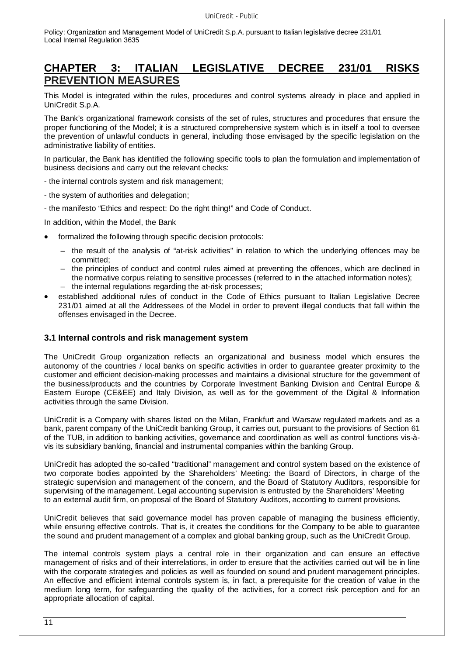# **CHAPTER 3: ITALIAN LEGISLATIVE DECREE 231/01 RISKS PREVENTION MEASURES**

This Model is integrated within the rules, procedures and control systems already in place and applied in UniCredit S.p.A.

The Bank's organizational framework consists of the set of rules, structures and procedures that ensure the proper functioning of the Model; it is a structured comprehensive system which is in itself a tool to oversee the prevention of unlawful conducts in general, including those envisaged by the specific legislation on the administrative liability of entities.

In particular, the Bank has identified the following specific tools to plan the formulation and implementation of business decisions and carry out the relevant checks:

- the internal controls system and risk management;

- the system of authorities and delegation;

- the manifesto "Ethics and respect: Do the right thing!" and Code of Conduct.

In addition, within the Model, the Bank

- formalized the following through specific decision protocols:
	- the result of the analysis of "at-risk activities" in relation to which the underlying offences may be committed;
	- the principles of conduct and control rules aimed at preventing the offences, which are declined in the normative corpus relating to sensitive processes (referred to in the attached information notes); – the internal regulations regarding the at-risk processes;
- established additional rules of conduct in the Code of Ethics pursuant to Italian Legislative Decree 231/01 aimed at all the Addressees of the Model in order to prevent illegal conducts that fall within the offenses envisaged in the Decree.

# **3.1 Internal controls and risk management system**

The UniCredit Group organization reflects an organizational and business model which ensures the autonomy of the countries / local banks on specific activities in order to guarantee greater proximity to the customer and efficient decision-making processes and maintains a divisional structure for the government of the business/products and the countries by Corporate Investment Banking Division and Central Europe & Eastern Europe (CE&EE) and Italy Division, as well as for the government of the Digital & Information activities through the same Division.

UniCredit is a Company with shares listed on the Milan, Frankfurt and Warsaw regulated markets and as a bank, parent company of the UniCredit banking Group, it carries out, pursuant to the provisions of Section 61 of the TUB, in addition to banking activities, governance and coordination as well as control functions vis-àvis its subsidiary banking, financial and instrumental companies within the banking Group.

UniCredit has adopted the so-called "traditional" management and control system based on the existence of two corporate bodies appointed by the Shareholders' Meeting: the Board of Directors, in charge of the strategic supervision and management of the concern, and the Board of Statutory Auditors, responsible for supervising of the management. Legal accounting supervision is entrusted by the Shareholders' Meeting to an external audit firm, on proposal of the Board of Statutory Auditors, according to current provisions.

UniCredit believes that said governance model has proven capable of managing the business efficiently, while ensuring effective controls. That is, it creates the conditions for the Company to be able to guarantee the sound and prudent management of a complex and global banking group, such as the UniCredit Group.

The internal controls system plays a central role in their organization and can ensure an effective management of risks and of their interrelations, in order to ensure that the activities carried out will be in line with the corporate strategies and policies as well as founded on sound and prudent management principles. An effective and efficient internal controls system is, in fact, a prerequisite for the creation of value in the medium long term, for safeguarding the quality of the activities, for a correct risk perception and for an appropriate allocation of capital.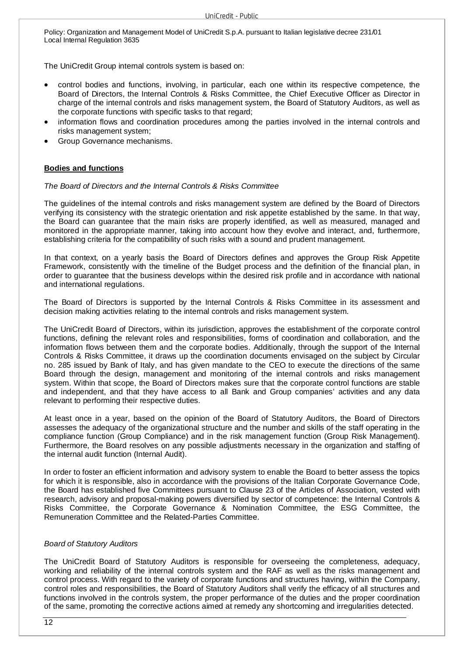The UniCredit Group internal controls system is based on:

- control bodies and functions, involving, in particular, each one within its respective competence, the Board of Directors, the Internal Controls & Risks Committee, the Chief Executive Officer as Director in charge of the internal controls and risks management system, the Board of Statutory Auditors, as well as the corporate functions with specific tasks to that regard;
- information flows and coordination procedures among the parties involved in the internal controls and risks management system;
- Group Governance mechanisms.

#### **Bodies and functions**

#### *The Board of Directors and the Internal Controls & Risks Committee*

The guidelines of the internal controls and risks management system are defined by the Board of Directors verifying its consistency with the strategic orientation and risk appetite established by the same. In that way, the Board can guarantee that the main risks are properly identified, as well as measured, managed and monitored in the appropriate manner, taking into account how they evolve and interact, and, furthermore, establishing criteria for the compatibility of such risks with a sound and prudent management.

In that context, on a yearly basis the Board of Directors defines and approves the Group Risk Appetite Framework, consistently with the timeline of the Budget process and the definition of the financial plan, in order to guarantee that the business develops within the desired risk profile and in accordance with national and international regulations.

The Board of Directors is supported by the Internal Controls & Risks Committee in its assessment and decision making activities relating to the internal controls and risks management system.

The UniCredit Board of Directors, within its jurisdiction, approves the establishment of the corporate control functions, defining the relevant roles and responsibilities, forms of coordination and collaboration, and the information flows between them and the corporate bodies. Additionally, through the support of the Internal Controls & Risks Committee, it draws up the coordination documents envisaged on the subject by Circular no. 285 issued by Bank of Italy, and has given mandate to the CEO to execute the directions of the same Board through the design, management and monitoring of the internal controls and risks management system. Within that scope, the Board of Directors makes sure that the corporate control functions are stable and independent, and that they have access to all Bank and Group companies' activities and any data relevant to performing their respective duties.

At least once in a year, based on the opinion of the Board of Statutory Auditors, the Board of Directors assesses the adequacy of the organizational structure and the number and skills of the staff operating in the compliance function (Group Compliance) and in the risk management function (Group Risk Management). Furthermore, the Board resolves on any possible adjustments necessary in the organization and staffing of the internal audit function (Internal Audit).

In order to foster an efficient information and advisory system to enable the Board to better assess the topics for which it is responsible, also in accordance with the provisions of the Italian Corporate Governance Code, the Board has established five Committees pursuant to Clause 23 of the Articles of Association, vested with research, advisory and proposal-making powers diversified by sector of competence: the Internal Controls & Risks Committee, the Corporate Governance & Nomination Committee, the ESG Committee, the Remuneration Committee and the Related-Parties Committee.

#### *Board of Statutory Auditors*

The UniCredit Board of Statutory Auditors is responsible for overseeing the completeness, adequacy, working and reliability of the internal controls system and the RAF as well as the risks management and control process. With regard to the variety of corporate functions and structures having, within the Company, control roles and responsibilities, the Board of Statutory Auditors shall verify the efficacy of all structures and functions involved in the controls system, the proper performance of the duties and the proper coordination of the same, promoting the corrective actions aimed at remedy any shortcoming and irregularities detected.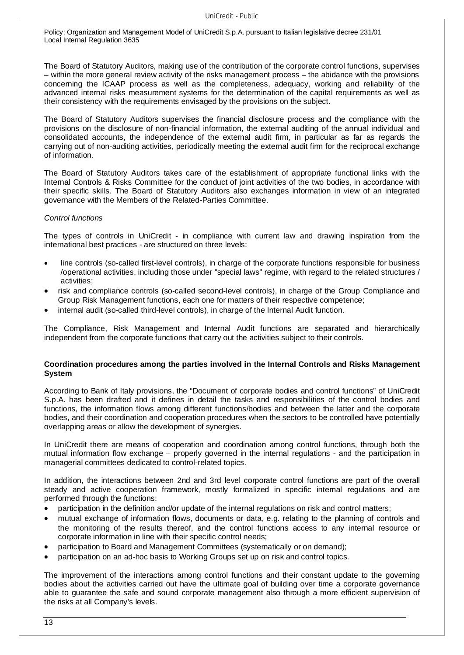The Board of Statutory Auditors, making use of the contribution of the corporate control functions, supervises – within the more general review activity of the risks management process – the abidance with the provisions concerning the ICAAP process as well as the completeness, adequacy, working and reliability of the advanced internal risks measurement systems for the determination of the capital requirements as well as their consistency with the requirements envisaged by the provisions on the subject.

The Board of Statutory Auditors supervises the financial disclosure process and the compliance with the provisions on the disclosure of non-financial information, the external auditing of the annual individual and consolidated accounts, the independence of the external audit firm, in particular as far as regards the carrying out of non-auditing activities, periodically meeting the external audit firm for the reciprocal exchange of information.

The Board of Statutory Auditors takes care of the establishment of appropriate functional links with the Internal Controls & Risks Committee for the conduct of joint activities of the two bodies, in accordance with their specific skills. The Board of Statutory Auditors also exchanges information in view of an integrated governance with the Members of the Related-Parties Committee.

#### *Control functions*

The types of controls in UniCredit - in compliance with current law and drawing inspiration from the international best practices - are structured on three levels:

- line controls (so-called first-level controls), in charge of the corporate functions responsible for business /operational activities, including those under "special laws" regime, with regard to the related structures / activities;
- risk and compliance controls (so-called second-level controls), in charge of the Group Compliance and Group Risk Management functions, each one for matters of their respective competence;
- internal audit (so-called third-level controls), in charge of the Internal Audit function.

The Compliance, Risk Management and Internal Audit functions are separated and hierarchically independent from the corporate functions that carry out the activities subject to their controls.

#### **Coordination procedures among the parties involved in the Internal Controls and Risks Management System**

According to Bank of Italy provisions, the "Document of corporate bodies and control functions" of UniCredit S.p.A. has been drafted and it defines in detail the tasks and responsibilities of the control bodies and functions, the information flows among different functions/bodies and between the latter and the corporate bodies, and their coordination and cooperation procedures when the sectors to be controlled have potentially overlapping areas or allow the development of synergies.

In UniCredit there are means of cooperation and coordination among control functions, through both the mutual information flow exchange – properly governed in the internal regulations - and the participation in managerial committees dedicated to control-related topics.

In addition, the interactions between 2nd and 3rd level corporate control functions are part of the overall steady and active cooperation framework, mostly formalized in specific internal regulations and are performed through the functions:

- participation in the definition and/or update of the internal regulations on risk and control matters;
- mutual exchange of information flows, documents or data, e.g. relating to the planning of controls and the monitoring of the results thereof, and the control functions access to any internal resource or corporate information in line with their specific control needs;
- participation to Board and Management Committees (systematically or on demand);
- participation on an ad-hoc basis to Working Groups set up on risk and control topics.

The improvement of the interactions among control functions and their constant update to the governing bodies about the activities carried out have the ultimate goal of building over time a corporate governance able to guarantee the safe and sound corporate management also through a more efficient supervision of the risks at all Company's levels.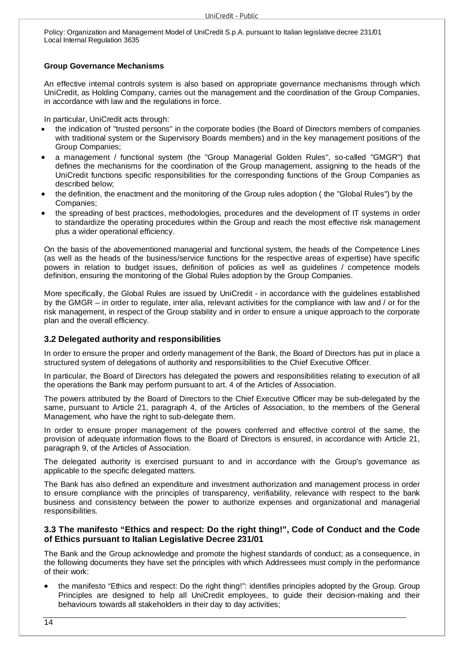#### **Group Governance Mechanisms**

An effective internal controls system is also based on appropriate governance mechanisms through which UniCredit, as Holding Company, carries out the management and the coordination of the Group Companies, in accordance with law and the regulations in force.

In particular, UniCredit acts through:

- the indication of "trusted persons" in the corporate bodies (the Board of Directors members of companies with traditional system or the Supervisory Boards members) and in the key management positions of the Group Companies;
- a management / functional system (the "Group Managerial Golden Rules", so-called "GMGR") that defines the mechanisms for the coordination of the Group management, assigning to the heads of the UniCredit functions specific responsibilities for the corresponding functions of the Group Companies as described below;
- the definition, the enactment and the monitoring of the Group rules adoption ( the "Global Rules") by the Companies;
- the spreading of best practices, methodologies, procedures and the development of IT systems in order to standardize the operating procedures within the Group and reach the most effective risk management plus a wider operational efficiency.

On the basis of the abovementioned managerial and functional system, the heads of the Competence Lines (as well as the heads of the business/service functions for the respective areas of expertise) have specific powers in relation to budget issues, definition of policies as well as guidelines / competence models definition, ensuring the monitoring of the Global Rules adoption by the Group Companies.

More specifically, the Global Rules are issued by UniCredit - in accordance with the guidelines established by the GMGR – in order to regulate, inter alia, relevant activities for the compliance with law and / or for the risk management, in respect of the Group stability and in order to ensure a unique approach to the corporate plan and the overall efficiency.

# **3.2 Delegated authority and responsibilities**

In order to ensure the proper and orderly management of the Bank, the Board of Directors has put in place a structured system of delegations of authority and responsibilities to the Chief Executive Officer.

In particular, the Board of Directors has delegated the powers and responsibilities relating to execution of all the operations the Bank may perform pursuant to art. 4 of the Articles of Association.

The powers attributed by the Board of Directors to the Chief Executive Officer may be sub-delegated by the same, pursuant to Article 21, paragraph 4, of the Articles of Association, to the members of the General Management, who have the right to sub-delegate them.

In order to ensure proper management of the powers conferred and effective control of the same, the provision of adequate information flows to the Board of Directors is ensured, in accordance with Article 21, paragraph 9, of the Articles of Association.

The delegated authority is exercised pursuant to and in accordance with the Group's governance as applicable to the specific delegated matters.

The Bank has also defined an expenditure and investment authorization and management process in order to ensure compliance with the principles of transparency, verifiability, relevance with respect to the bank business and consistency between the power to authorize expenses and organizational and managerial responsibilities.

# **3.3 The manifesto "Ethics and respect: Do the right thing!", Code of Conduct and the Code of Ethics pursuant to Italian Legislative Decree 231/01**

The Bank and the Group acknowledge and promote the highest standards of conduct; as a consequence, in the following documents they have set the principles with which Addressees must comply in the performance of their work:

 the manifesto "Ethics and respect: Do the right thing!": identifies principles adopted by the Group. Group Principles are designed to help all UniCredit employees, to guide their decision-making and their behaviours towards all stakeholders in their day to day activities;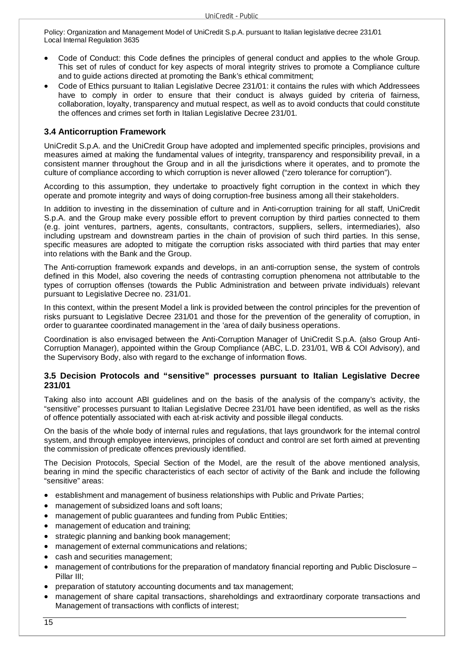- Code of Conduct: this Code defines the principles of general conduct and applies to the whole Group. This set of rules of conduct for key aspects of moral integrity strives to promote a Compliance culture and to guide actions directed at promoting the Bank's ethical commitment;
- Code of Ethics pursuant to Italian Legislative Decree 231/01: it contains the rules with which Addressees have to comply in order to ensure that their conduct is always guided by criteria of fairness, collaboration, loyalty, transparency and mutual respect, as well as to avoid conducts that could constitute the offences and crimes set forth in Italian Legislative Decree 231/01.

# **3.4 Anticorruption Framework**

UniCredit S.p.A. and the UniCredit Group have adopted and implemented specific principles, provisions and measures aimed at making the fundamental values of integrity, transparency and responsibility prevail, in a consistent manner throughout the Group and in all the jurisdictions where it operates, and to promote the culture of compliance according to which corruption is never allowed ("zero tolerance for corruption").

According to this assumption, they undertake to proactively fight corruption in the context in which they operate and promote integrity and ways of doing corruption-free business among all their stakeholders.

In addition to investing in the dissemination of culture and in Anti-corruption training for all staff, UniCredit S.p.A. and the Group make every possible effort to prevent corruption by third parties connected to them (e.g. joint ventures, partners, agents, consultants, contractors, suppliers, sellers, intermediaries), also including upstream and downstream parties in the chain of provision of such third parties. In this sense, specific measures are adopted to mitigate the corruption risks associated with third parties that may enter into relations with the Bank and the Group.

The Anti-corruption framework expands and develops, in an anti-corruption sense, the system of controls defined in this Model, also covering the needs of contrasting corruption phenomena not attributable to the types of corruption offenses (towards the Public Administration and between private individuals) relevant pursuant to Legislative Decree no. 231/01.

In this context, within the present Model a link is provided between the control principles for the prevention of risks pursuant to Legislative Decree 231/01 and those for the prevention of the generality of corruption, in order to guarantee coordinated management in the 'area of daily business operations.

Coordination is also envisaged between the Anti-Corruption Manager of UniCredit S.p.A. (also Group Anti-Corruption Manager), appointed within the Group Compliance (ABC, L.D. 231/01, WB & COI Advisory), and the Supervisory Body, also with regard to the exchange of information flows.

# **3.5 Decision Protocols and "sensitive" processes pursuant to Italian Legislative Decree 231/01**

Taking also into account ABI guidelines and on the basis of the analysis of the company's activity, the "sensitive" processes pursuant to Italian Legislative Decree 231/01 have been identified, as well as the risks of offence potentially associated with each at-risk activity and possible illegal conducts.

On the basis of the whole body of internal rules and regulations, that lays groundwork for the internal control system, and through employee interviews, principles of conduct and control are set forth aimed at preventing the commission of predicate offences previously identified.

The Decision Protocols, Special Section of the Model, are the result of the above mentioned analysis, bearing in mind the specific characteristics of each sector of activity of the Bank and include the following "sensitive" areas:

- establishment and management of business relationships with Public and Private Parties;
- management of subsidized loans and soft loans;
- management of public guarantees and funding from Public Entities;
- management of education and training;
- strategic planning and banking book management;
- management of external communications and relations;
- cash and securities management;
- management of contributions for the preparation of mandatory financial reporting and Public Disclosure Pillar III;
- preparation of statutory accounting documents and tax management;
- management of share capital transactions, shareholdings and extraordinary corporate transactions and Management of transactions with conflicts of interest;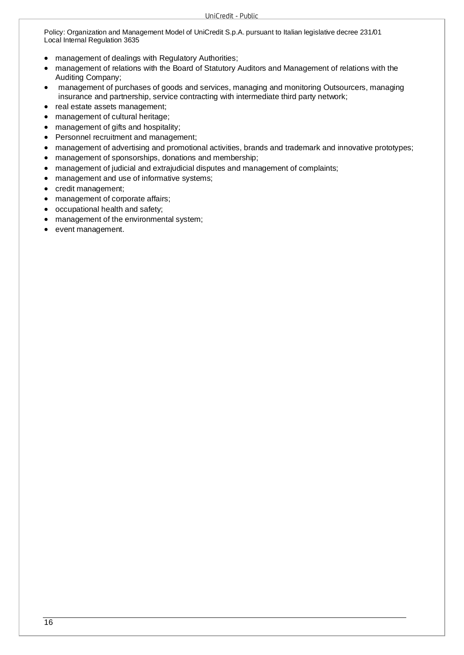- management of dealings with Regulatory Authorities;
- management of relations with the Board of Statutory Auditors and Management of relations with the Auditing Company;
- management of purchases of goods and services, managing and monitoring Outsourcers, managing insurance and partnership, service contracting with intermediate third party network;
- real estate assets management;
- management of cultural heritage;
- management of gifts and hospitality;
- Personnel recruitment and management;
- management of advertising and promotional activities, brands and trademark and innovative prototypes;
- management of sponsorships, donations and membership;
- management of judicial and extrajudicial disputes and management of complaints;
- management and use of informative systems;
- credit management;
- management of corporate affairs;
- occupational health and safety;
- management of the environmental system;
- event management.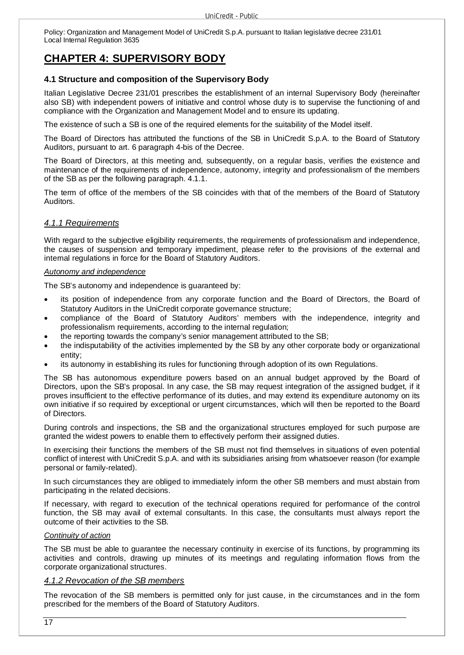# **CHAPTER 4: SUPERVISORY BODY**

# **4.1 Structure and composition of the Supervisory Body**

Italian Legislative Decree 231/01 prescribes the establishment of an internal Supervisory Body (hereinafter also SB) with independent powers of initiative and control whose duty is to supervise the functioning of and compliance with the Organization and Management Model and to ensure its updating.

The existence of such a SB is one of the required elements for the suitability of the Model itself.

The Board of Directors has attributed the functions of the SB in UniCredit S.p.A. to the Board of Statutory Auditors, pursuant to art. 6 paragraph 4-bis of the Decree.

The Board of Directors, at this meeting and, subsequently, on a regular basis, verifies the existence and maintenance of the requirements of independence, autonomy, integrity and professionalism of the members of the SB as per the following paragraph. 4.1.1.

The term of office of the members of the SB coincides with that of the members of the Board of Statutory Auditors.

# *4.1.1 Requirements*

With regard to the subjective eligibility requirements, the requirements of professionalism and independence, the causes of suspension and temporary impediment, please refer to the provisions of the external and internal regulations in force for the Board of Statutory Auditors.

#### *Autonomy and independence*

The SB's autonomy and independence is guaranteed by:

- its position of independence from any corporate function and the Board of Directors, the Board of Statutory Auditors in the UniCredit corporate governance structure;
- compliance of the Board of Statutory Auditors' members with the independence, integrity and professionalism requirements, according to the internal regulation;
- the reporting towards the company's senior management attributed to the SB;
- the indisputability of the activities implemented by the SB by any other corporate body or organizational entity;
- its autonomy in establishing its rules for functioning through adoption of its own Regulations.

The SB has autonomous expenditure powers based on an annual budget approved by the Board of Directors, upon the SB's proposal. In any case, the SB may request integration of the assigned budget, if it proves insufficient to the effective performance of its duties, and may extend its expenditure autonomy on its own initiative if so required by exceptional or urgent circumstances, which will then be reported to the Board of Directors.

During controls and inspections, the SB and the organizational structures employed for such purpose are granted the widest powers to enable them to effectively perform their assigned duties.

In exercising their functions the members of the SB must not find themselves in situations of even potential conflict of interest with UniCredit S.p.A. and with its subsidiaries arising from whatsoever reason (for example personal or family-related).

In such circumstances they are obliged to immediately inform the other SB members and must abstain from participating in the related decisions.

If necessary, with regard to execution of the technical operations required for performance of the control function, the SB may avail of external consultants. In this case, the consultants must always report the outcome of their activities to the SB.

#### *Continuity of action*

The SB must be able to guarantee the necessary continuity in exercise of its functions, by programming its activities and controls, drawing up minutes of its meetings and regulating information flows from the corporate organizational structures.

# *4.1.2 Revocation of the SB members*

The revocation of the SB members is permitted only for just cause, in the circumstances and in the form prescribed for the members of the Board of Statutory Auditors.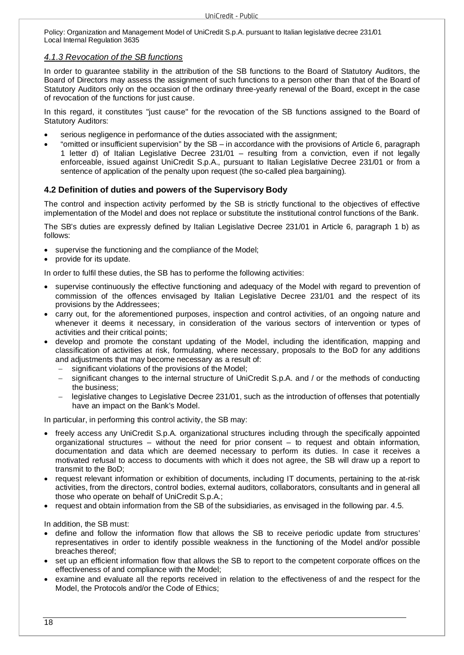#### *4.1.3 Revocation of the SB functions*

In order to guarantee stability in the attribution of the SB functions to the Board of Statutory Auditors, the Board of Directors may assess the assignment of such functions to a person other than that of the Board of Statutory Auditors only on the occasion of the ordinary three-yearly renewal of the Board, except in the case of revocation of the functions for just cause.

In this regard, it constitutes "just cause" for the revocation of the SB functions assigned to the Board of Statutory Auditors:

- serious negligence in performance of the duties associated with the assignment;
- "omitted or insufficient supervision" by the SB in accordance with the provisions of Article 6, paragraph 1 letter d) of Italian Legislative Decree 231/01 – resulting from a conviction, even if not legally enforceable, issued against UniCredit S.p.A., pursuant to Italian Legislative Decree 231/01 or from a sentence of application of the penalty upon request (the so-called plea bargaining).

# **4.2 Definition of duties and powers of the Supervisory Body**

The control and inspection activity performed by the SB is strictly functional to the objectives of effective implementation of the Model and does not replace or substitute the institutional control functions of the Bank.

The SB's duties are expressly defined by Italian Legislative Decree 231/01 in Article 6, paragraph 1 b) as follows:

- supervise the functioning and the compliance of the Model;
- provide for its update.

In order to fulfil these duties, the SB has to performe the following activities:

- supervise continuously the effective functioning and adequacy of the Model with regard to prevention of commission of the offences envisaged by Italian Legislative Decree 231/01 and the respect of its provisions by the Addressees;
- carry out, for the aforementioned purposes, inspection and control activities, of an ongoing nature and whenever it deems it necessary, in consideration of the various sectors of intervention or types of activities and their critical points;
- develop and promote the constant updating of the Model, including the identification, mapping and classification of activities at risk, formulating, where necessary, proposals to the BoD for any additions and adjustments that may become necessary as a result of:
	- $\overline{-}$  significant violations of the provisions of the Model;
	- significant changes to the internal structure of UniCredit S.p.A. and / or the methods of conducting the business;
	- legislative changes to Legislative Decree 231/01, such as the introduction of offenses that potentially have an impact on the Bank's Model.

In particular, in performing this control activity, the SB may:

- freely access any UniCredit S.p.A. organizational structures including through the specifically appointed organizational structures – without the need for prior consent – to request and obtain information, documentation and data which are deemed necessary to perform its duties. In case it receives a motivated refusal to access to documents with which it does not agree, the SB will draw up a report to transmit to the BoD;
- request relevant information or exhibition of documents, including IT documents, pertaining to the at-risk activities, from the directors, control bodies, external auditors, collaborators, consultants and in general all those who operate on behalf of UniCredit S.p.A.;
- request and obtain information from the SB of the subsidiaries, as envisaged in the following par. 4.5.

In addition, the SB must:

- define and follow the information flow that allows the SB to receive periodic update from structures' representatives in order to identify possible weakness in the functioning of the Model and/or possible breaches thereof;
- set up an efficient information flow that allows the SB to report to the competent corporate offices on the effectiveness of and compliance with the Model;
- examine and evaluate all the reports received in relation to the effectiveness of and the respect for the Model, the Protocols and/or the Code of Ethics;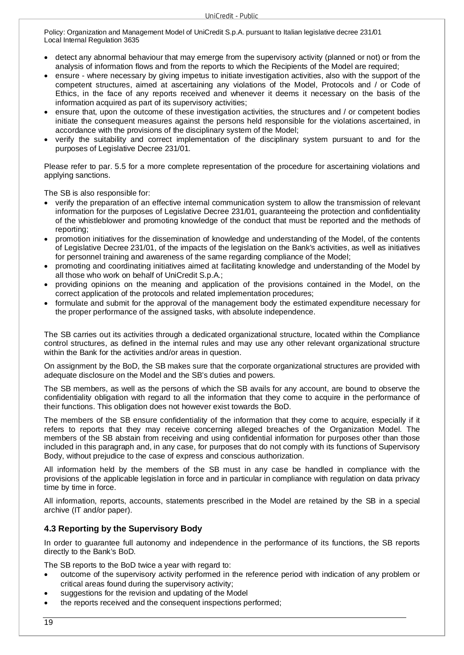- detect any abnormal behaviour that may emerge from the supervisory activity (planned or not) or from the analysis of information flows and from the reports to which the Recipients of the Model are required;
- ensure where necessary by giving impetus to initiate investigation activities, also with the support of the competent structures, aimed at ascertaining any violations of the Model, Protocols and / or Code of Ethics, in the face of any reports received and whenever it deems it necessary on the basis of the information acquired as part of its supervisory activities;
- ensure that, upon the outcome of these investigation activities, the structures and / or competent bodies initiate the consequent measures against the persons held responsible for the violations ascertained, in accordance with the provisions of the disciplinary system of the Model;
- verify the suitability and correct implementation of the disciplinary system pursuant to and for the purposes of Legislative Decree 231/01.

Please refer to par. 5.5 for a more complete representation of the procedure for ascertaining violations and applying sanctions.

The SB is also responsible for:

- verify the preparation of an effective internal communication system to allow the transmission of relevant information for the purposes of Legislative Decree 231/01, guaranteeing the protection and confidentiality of the whistleblower and promoting knowledge of the conduct that must be reported and the methods of reporting;
- promotion initiatives for the dissemination of knowledge and understanding of the Model, of the contents of Legislative Decree 231/01, of the impacts of the legislation on the Bank's activities, as well as initiatives for personnel training and awareness of the same regarding compliance of the Model;
- promoting and coordinating initiatives aimed at facilitating knowledge and understanding of the Model by all those who work on behalf of UniCredit S.p.A.;
- providing opinions on the meaning and application of the provisions contained in the Model, on the correct application of the protocols and related implementation procedures;
- formulate and submit for the approval of the management body the estimated expenditure necessary for the proper performance of the assigned tasks, with absolute independence.

The SB carries out its activities through a dedicated organizational structure, located within the Compliance control structures, as defined in the internal rules and may use any other relevant organizational structure within the Bank for the activities and/or areas in question.

On assignment by the BoD, the SB makes sure that the corporate organizational structures are provided with adequate disclosure on the Model and the SB's duties and powers.

The SB members, as well as the persons of which the SB avails for any account, are bound to observe the confidentiality obligation with regard to all the information that they come to acquire in the performance of their functions. This obligation does not however exist towards the BoD.

The members of the SB ensure confidentiality of the information that they come to acquire, especially if it refers to reports that they may receive concerning alleged breaches of the Organization Model. The members of the SB abstain from receiving and using confidential information for purposes other than those included in this paragraph and, in any case, for purposes that do not comply with its functions of Supervisory Body, without prejudice to the case of express and conscious authorization.

All information held by the members of the SB must in any case be handled in compliance with the provisions of the applicable legislation in force and in particular in compliance with regulation on data privacy time by time in force.

All information, reports, accounts, statements prescribed in the Model are retained by the SB in a special archive (IT and/or paper).

# **4.3 Reporting by the Supervisory Body**

In order to guarantee full autonomy and independence in the performance of its functions, the SB reports directly to the Bank's BoD.

The SB reports to the BoD twice a year with regard to:

- outcome of the supervisory activity performed in the reference period with indication of any problem or critical areas found during the supervisory activity;
- suggestions for the revision and updating of the Model
- the reports received and the consequent inspections performed;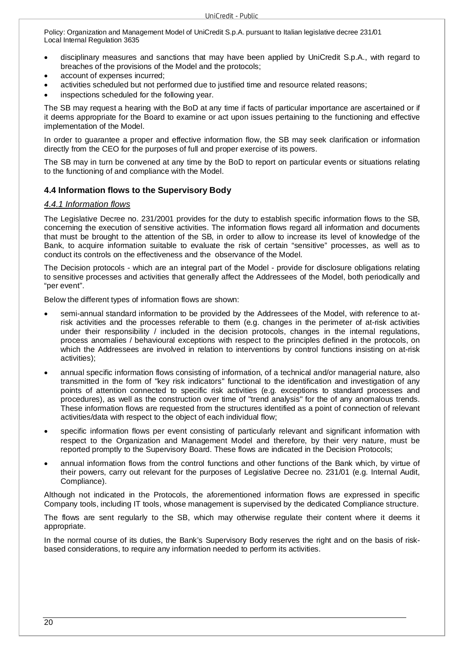- disciplinary measures and sanctions that may have been applied by UniCredit S.p.A., with regard to breaches of the provisions of the Model and the protocols;
- account of expenses incurred;
- activities scheduled but not performed due to justified time and resource related reasons;
- inspections scheduled for the following year.

The SB may request a hearing with the BoD at any time if facts of particular importance are ascertained or if it deems appropriate for the Board to examine or act upon issues pertaining to the functioning and effective implementation of the Model.

In order to guarantee a proper and effective information flow, the SB may seek clarification or information directly from the CEO for the purposes of full and proper exercise of its powers.

The SB may in turn be convened at any time by the BoD to report on particular events or situations relating to the functioning of and compliance with the Model.

# **4.4 Information flows to the Supervisory Body**

#### *4.4.1 Information flows*

The Legislative Decree no. 231/2001 provides for the duty to establish specific information flows to the SB, concerning the execution of sensitive activities. The information flows regard all information and documents that must be brought to the attention of the SB, in order to allow to increase its level of knowledge of the Bank, to acquire information suitable to evaluate the risk of certain "sensitive" processes, as well as to conduct its controls on the effectiveness and the observance of the Model.

The Decision protocols - which are an integral part of the Model - provide for disclosure obligations relating to sensitive processes and activities that generally affect the Addressees of the Model, both periodically and "per event".

Below the different types of information flows are shown:

- semi-annual standard information to be provided by the Addressees of the Model, with reference to atrisk activities and the processes referable to them (e.g. changes in the perimeter of at-risk activities under their responsibility / included in the decision protocols, changes in the internal regulations, process anomalies / behavioural exceptions with respect to the principles defined in the protocols, on which the Addressees are involved in relation to interventions by control functions insisting on at-risk activities);
- annual specific information flows consisting of information, of a technical and/or managerial nature, also transmitted in the form of "key risk indicators" functional to the identification and investigation of any points of attention connected to specific risk activities (e.g. exceptions to standard processes and procedures), as well as the construction over time of "trend analysis" for the of any anomalous trends. These information flows are requested from the structures identified as a point of connection of relevant activities/data with respect to the object of each individual flow;
- specific information flows per event consisting of particularly relevant and significant information with respect to the Organization and Management Model and therefore, by their very nature, must be reported promptly to the Supervisory Board. These flows are indicated in the Decision Protocols;
- annual information flows from the control functions and other functions of the Bank which, by virtue of their powers, carry out relevant for the purposes of Legislative Decree no. 231/01 (e.g. Internal Audit, Compliance).

Although not indicated in the Protocols, the aforementioned information flows are expressed in specific Company tools, including IT tools, whose management is supervised by the dedicated Compliance structure.

The flows are sent regularly to the SB, which may otherwise regulate their content where it deems it appropriate.

In the normal course of its duties, the Bank's Supervisory Body reserves the right and on the basis of riskbased considerations, to require any information needed to perform its activities.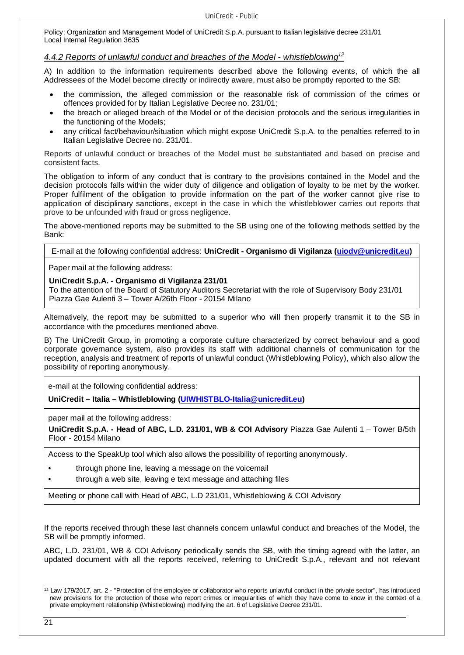#### *4.4.2 Reports of unlawful conduct and breaches of the Model - whistleblowing<sup>12</sup>*

A) In addition to the information requirements described above the following events, of which the all Addressees of the Model become directly or indirectly aware, must also be promptly reported to the SB:

- the commission, the alleged commission or the reasonable risk of commission of the crimes or offences provided for by Italian Legislative Decree no. 231/01;
- the breach or alleged breach of the Model or of the decision protocols and the serious irregularities in the functioning of the Models;
- any critical fact/behaviour/situation which might expose UniCredit S.p.A. to the penalties referred to in Italian Legislative Decree no. 231/01.

Reports of unlawful conduct or breaches of the Model must be substantiated and based on precise and consistent facts.

The obligation to inform of any conduct that is contrary to the provisions contained in the Model and the decision protocols falls within the wider duty of diligence and obligation of loyalty to be met by the worker. Proper fulfilment of the obligation to provide information on the part of the worker cannot give rise to application of disciplinary sanctions, except in the case in which the whistleblower carries out reports that prove to be unfounded with fraud or gross negligence.

The above-mentioned reports may be submitted to the SB using one of the following methods settled by the Bank:

E-mail at the following confidential address: **UniCredit - Organismo di Vigilanza (uiodv@unicredit.eu)**

Paper mail at the following address:

#### **UniCredit S.p.A. - Organismo di Vigilanza 231/01**

To the attention of the Board of Statutory Auditors Secretariat with the role of Supervisory Body 231/01 Piazza Gae Aulenti 3 – Tower A/26th Floor - 20154 Milano

Alternatively, the report may be submitted to a superior who will then properly transmit it to the SB in accordance with the procedures mentioned above.

B) The UniCredit Group, in promoting a corporate culture characterized by correct behaviour and a good corporate governance system, also provides its staff with additional channels of communication for the reception, analysis and treatment of reports of unlawful conduct (Whistleblowing Policy), which also allow the possibility of reporting anonymously.

e-mail at the following confidential address:

**UniCredit – Italia – Whistleblowing (UIWHISTBLO-Italia@unicredit.eu)** 

paper mail at the following address:

**UniCredit S.p.A. - Head of ABC, L.D. 231/01, WB & COI Advisory** Piazza Gae Aulenti 1 – Tower B/5th Floor - 20154 Milano

Access to the SpeakUp tool which also allows the possibility of reporting anonymously.

- through phone line, leaving a message on the voicemail
- through a web site, leaving e text message and attaching files

Meeting or phone call with Head of ABC, L.D 231/01, Whistleblowing & COI Advisory

If the reports received through these last channels concern unlawful conduct and breaches of the Model, the SB will be promptly informed.

ABC, L.D. 231/01, WB & COI Advisory periodically sends the SB, with the timing agreed with the latter, an updated document with all the reports received, referring to UniCredit S.p.A., relevant and not relevant

<sup>12</sup> Law 179/2017, art. 2 - "Protection of the employee or collaborator who reports unlawful conduct in the private sector", has introduced new provisions for the protection of those who report crimes or irregularities of which they have come to know in the context of a private employment relationship (Whistleblowing) modifying the art. 6 of Legislative Decree 231/01.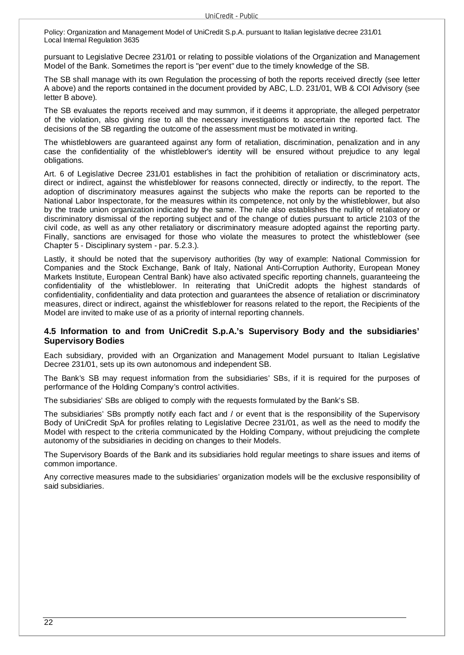pursuant to Legislative Decree 231/01 or relating to possible violations of the Organization and Management Model of the Bank. Sometimes the report is "per event" due to the timely knowledge of the SB.

The SB shall manage with its own Regulation the processing of both the reports received directly (see letter A above) and the reports contained in the document provided by ABC, L.D. 231/01, WB & COI Advisory (see letter B above).

The SB evaluates the reports received and may summon, if it deems it appropriate, the alleged perpetrator of the violation, also giving rise to all the necessary investigations to ascertain the reported fact. The decisions of the SB regarding the outcome of the assessment must be motivated in writing.

The whistleblowers are guaranteed against any form of retaliation, discrimination, penalization and in any case the confidentiality of the whistleblower's identity will be ensured without prejudice to any legal obligations.

Art. 6 of Legislative Decree 231/01 establishes in fact the prohibition of retaliation or discriminatory acts, direct or indirect, against the whistleblower for reasons connected, directly or indirectly, to the report. The adoption of discriminatory measures against the subjects who make the reports can be reported to the National Labor Inspectorate, for the measures within its competence, not only by the whistleblower, but also by the trade union organization indicated by the same. The rule also establishes the nullity of retaliatory or discriminatory dismissal of the reporting subject and of the change of duties pursuant to article 2103 of the civil code, as well as any other retaliatory or discriminatory measure adopted against the reporting party. Finally, sanctions are envisaged for those who violate the measures to protect the whistleblower (see Chapter 5 - Disciplinary system - par. 5.2.3.).

Lastly, it should be noted that the supervisory authorities (by way of example: National Commission for Companies and the Stock Exchange, Bank of Italy, National Anti-Corruption Authority, European Money Markets Institute, European Central Bank) have also activated specific reporting channels, guaranteeing the confidentiality of the whistleblower. In reiterating that UniCredit adopts the highest standards of confidentiality, confidentiality and data protection and guarantees the absence of retaliation or discriminatory measures, direct or indirect, against the whistleblower for reasons related to the report, the Recipients of the Model are invited to make use of as a priority of internal reporting channels.

# **4.5 Information to and from UniCredit S.p.A.'s Supervisory Body and the subsidiaries' Supervisory Bodies**

Each subsidiary, provided with an Organization and Management Model pursuant to Italian Legislative Decree 231/01, sets up its own autonomous and independent SB.

The Bank's SB may request information from the subsidiaries' SBs, if it is required for the purposes of performance of the Holding Company's control activities.

The subsidiaries' SBs are obliged to comply with the requests formulated by the Bank's SB.

The subsidiaries' SBs promptly notify each fact and / or event that is the responsibility of the Supervisory Body of UniCredit SpA for profiles relating to Legislative Decree 231/01, as well as the need to modify the Model with respect to the criteria communicated by the Holding Company, without prejudicing the complete autonomy of the subsidiaries in deciding on changes to their Models.

The Supervisory Boards of the Bank and its subsidiaries hold regular meetings to share issues and items of common importance.

Any corrective measures made to the subsidiaries' organization models will be the exclusive responsibility of said subsidiaries.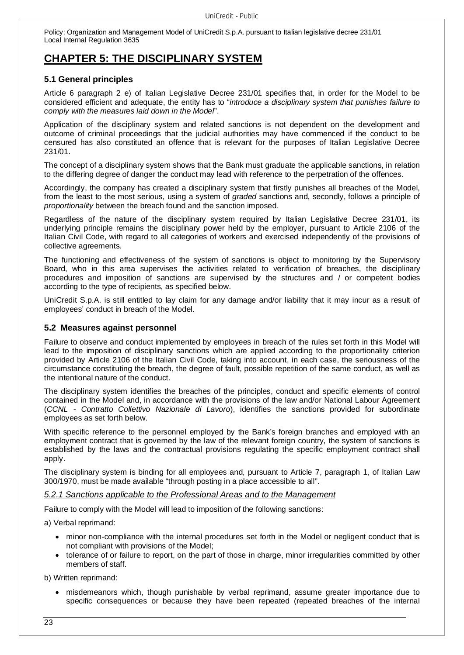# **CHAPTER 5: THE DISCIPLINARY SYSTEM**

# **5.1 General principles**

Article 6 paragraph 2 e) of Italian Legislative Decree 231/01 specifies that, in order for the Model to be considered efficient and adequate, the entity has to "*introduce a disciplinary system that punishes failure to comply with the measures laid down in the Model*".

Application of the disciplinary system and related sanctions is not dependent on the development and outcome of criminal proceedings that the judicial authorities may have commenced if the conduct to be censured has also constituted an offence that is relevant for the purposes of Italian Legislative Decree 231/01.

The concept of a disciplinary system shows that the Bank must graduate the applicable sanctions, in relation to the differing degree of danger the conduct may lead with reference to the perpetration of the offences.

Accordingly, the company has created a disciplinary system that firstly punishes all breaches of the Model, from the least to the most serious, using a system of *graded* sanctions and, secondly, follows a principle of *proportionality* between the breach found and the sanction imposed.

Regardless of the nature of the disciplinary system required by Italian Legislative Decree 231/01, its underlying principle remains the disciplinary power held by the employer, pursuant to Article 2106 of the Italian Civil Code, with regard to all categories of workers and exercised independently of the provisions of collective agreements.

The functioning and effectiveness of the system of sanctions is object to monitoring by the Supervisory Board, who in this area supervises the activities related to verification of breaches, the disciplinary procedures and imposition of sanctions are supervised by the structures and / or competent bodies according to the type of recipients, as specified below.

UniCredit S.p.A. is still entitled to lay claim for any damage and/or liability that it may incur as a result of employees' conduct in breach of the Model.

# **5.2 Measures against personnel**

Failure to observe and conduct implemented by employees in breach of the rules set forth in this Model will lead to the imposition of disciplinary sanctions which are applied according to the proportionality criterion provided by Article 2106 of the Italian Civil Code, taking into account, in each case, the seriousness of the circumstance constituting the breach, the degree of fault, possible repetition of the same conduct, as well as the intentional nature of the conduct.

The disciplinary system identifies the breaches of the principles, conduct and specific elements of control contained in the Model and, in accordance with the provisions of the law and/or National Labour Agreement (*CCNL - Contratto Collettivo Nazionale di Lavoro*), identifies the sanctions provided for subordinate employees as set forth below.

With specific reference to the personnel employed by the Bank's foreign branches and employed with an employment contract that is governed by the law of the relevant foreign country, the system of sanctions is established by the laws and the contractual provisions regulating the specific employment contract shall apply.

The disciplinary system is binding for all employees and, pursuant to Article 7, paragraph 1, of Italian Law 300/1970, must be made available "through posting in a place accessible to all".

# *5.2.1 Sanctions applicable to the Professional Areas and to the Management*

Failure to comply with the Model will lead to imposition of the following sanctions:

a) Verbal reprimand:

- minor non-compliance with the internal procedures set forth in the Model or negligent conduct that is not compliant with provisions of the Model;
- tolerance of or failure to report, on the part of those in charge, minor irregularities committed by other members of staff.

b) Written reprimand:

 misdemeanors which, though punishable by verbal reprimand, assume greater importance due to specific consequences or because they have been repeated (repeated breaches of the internal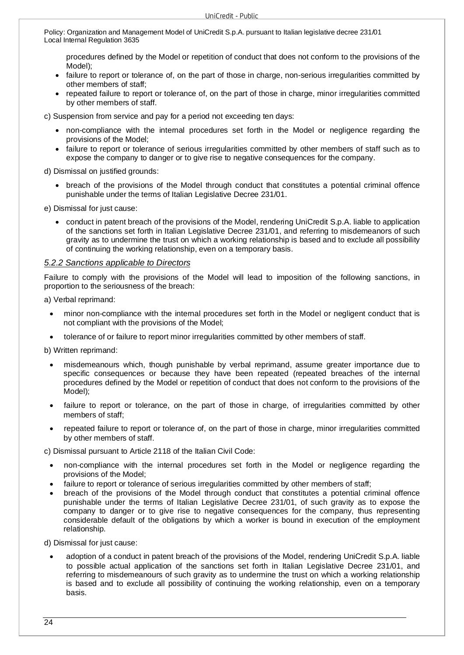procedures defined by the Model or repetition of conduct that does not conform to the provisions of the Model);

- failure to report or tolerance of, on the part of those in charge, non-serious irregularities committed by other members of staff;
- repeated failure to report or tolerance of, on the part of those in charge, minor irregularities committed by other members of staff.

c) Suspension from service and pay for a period not exceeding ten days:

- non-compliance with the internal procedures set forth in the Model or negligence regarding the provisions of the Model;
- failure to report or tolerance of serious irregularities committed by other members of staff such as to expose the company to danger or to give rise to negative consequences for the company.

d) Dismissal on justified grounds:

• breach of the provisions of the Model through conduct that constitutes a potential criminal offence punishable under the terms of Italian Legislative Decree 231/01.

e) Dismissal for just cause:

 conduct in patent breach of the provisions of the Model, rendering UniCredit S.p.A. liable to application of the sanctions set forth in Italian Legislative Decree 231/01, and referring to misdemeanors of such gravity as to undermine the trust on which a working relationship is based and to exclude all possibility of continuing the working relationship, even on a temporary basis.

# *5.2.2 Sanctions applicable to Directors*

Failure to comply with the provisions of the Model will lead to imposition of the following sanctions, in proportion to the seriousness of the breach:

a) Verbal reprimand:

- minor non-compliance with the internal procedures set forth in the Model or negligent conduct that is not compliant with the provisions of the Model;
- tolerance of or failure to report minor irregularities committed by other members of staff.

b) Written reprimand:

- misdemeanours which, though punishable by verbal reprimand, assume greater importance due to specific consequences or because they have been repeated (repeated breaches of the internal procedures defined by the Model or repetition of conduct that does not conform to the provisions of the Model);
- failure to report or tolerance, on the part of those in charge, of irregularities committed by other members of staff;
- repeated failure to report or tolerance of, on the part of those in charge, minor irregularities committed by other members of staff.

c) Dismissal pursuant to Article 2118 of the Italian Civil Code:

- non-compliance with the internal procedures set forth in the Model or negligence regarding the provisions of the Model;
- failure to report or tolerance of serious irregularities committed by other members of staff;
- breach of the provisions of the Model through conduct that constitutes a potential criminal offence punishable under the terms of Italian Legislative Decree 231/01, of such gravity as to expose the company to danger or to give rise to negative consequences for the company, thus representing considerable default of the obligations by which a worker is bound in execution of the employment relationship.

d) Dismissal for just cause:

 adoption of a conduct in patent breach of the provisions of the Model, rendering UniCredit S.p.A. liable to possible actual application of the sanctions set forth in Italian Legislative Decree 231/01, and referring to misdemeanours of such gravity as to undermine the trust on which a working relationship is based and to exclude all possibility of continuing the working relationship, even on a temporary basis.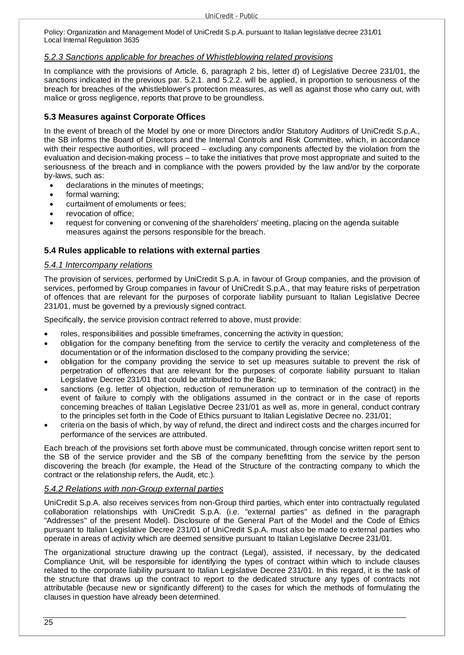# *5.2.3 Sanctions applicable for breaches of Whistleblowing related provisions*

In compliance with the provisions of Article. 6, paragraph 2 bis, letter d) of Legislative Decree 231/01, the sanctions indicated in the previous par. 5.2.1. and 5.2.2. will be applied, in proportion to seriousness of the breach for breaches of the whistleblower's protection measures, as well as against those who carry out, with malice or gross negligence, reports that prove to be groundless.

# **5.3 Measures against Corporate Offices**

In the event of breach of the Model by one or more Directors and/or Statutory Auditors of UniCredit S.p.A., the SB informs the Board of Directors and the Internal Controls and Risk Committee, which, in accordance with their respective authorities, will proceed – excluding any components affected by the violation from the evaluation and decision-making process – to take the initiatives that prove most appropriate and suited to the seriousness of the breach and in compliance with the powers provided by the law and/or by the corporate by-laws, such as:

- declarations in the minutes of meetings;
- formal warning;
- curtailment of emoluments or fees;
- revocation of office;
- request for convening or convening of the shareholders' meeting, placing on the agenda suitable measures against the persons responsible for the breach.

# **5.4 Rules applicable to relations with external parties**

# *5.4.1 Intercompany relations*

The provision of services, performed by UniCredit S.p.A. in favour of Group companies, and the provision of services, performed by Group companies in favour of UniCredit S.p.A., that may feature risks of perpetration of offences that are relevant for the purposes of corporate liability pursuant to Italian Legislative Decree 231/01, must be governed by a previously signed contract.

Specifically, the service provision contract referred to above, must provide:

- roles, responsibilities and possible timeframes, concerning the activity in question;
- obligation for the company benefiting from the service to certify the veracity and completeness of the documentation or of the information disclosed to the company providing the service;
- obligation for the company providing the service to set up measures suitable to prevent the risk of perpetration of offences that are relevant for the purposes of corporate liability pursuant to Italian Legislative Decree 231/01 that could be attributed to the Bank;
- sanctions (e.g. letter of objection, reduction of remuneration up to termination of the contract) in the event of failure to comply with the obligations assumed in the contract or in the case of reports concerning breaches of Italian Legislative Decree 231/01 as well as, more in general, conduct contrary to the principles set forth in the Code of Ethics pursuant to Italian Legislative Decree no. 231/01;
- criteria on the basis of which, by way of refund, the direct and indirect costs and the charges incurred for performance of the services are attributed.

Each breach of the provisions set forth above must be communicated, through concise written report sent to the SB of the service provider and the SB of the company benefitting from the service by the person discovering the breach (for example, the Head of the Structure of the contracting company to which the contract or the relationship refers, the Audit, etc.).

# *5.4.2 Relations with non-Group external parties*

UniCredit S.p.A. also receives services from non-Group third parties, which enter into contractually regulated collaboration relationships with UniCredit S.p.A. (i.e. "external parties" as defined in the paragraph "Addresses" of the present Model). Disclosure of the General Part of the Model and the Code of Ethics pursuant to Italian Legislative Decree 231/01 of UniCredit S.p.A. must also be made to external parties who operate in areas of activity which are deemed sensitive pursuant to Italian Legislative Decree 231/01.

The organizational structure drawing up the contract (Legal), assisted, if necessary, by the dedicated Compliance Unit, will be responsible for identifying the types of contract within which to include clauses related to the corporate liability pursuant to Italian Legislative Decree 231/01. In this regard, it is the task of the structure that draws up the contract to report to the dedicated structure any types of contracts not attributable (because new or significantly different) to the cases for which the methods of formulating the clauses in question have already been determined.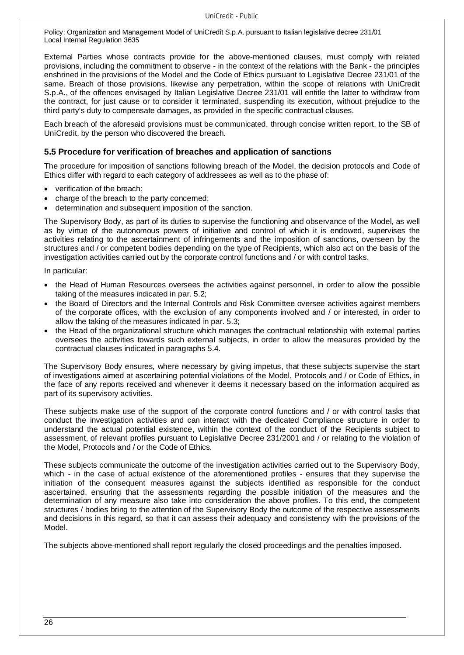External Parties whose contracts provide for the above-mentioned clauses, must comply with related provisions, including the commitment to observe - in the context of the relations with the Bank - the principles enshrined in the provisions of the Model and the Code of Ethics pursuant to Legislative Decree 231/01 of the same. Breach of those provisions, likewise any perpetration, within the scope of relations with UniCredit S.p.A., of the offences envisaged by Italian Legislative Decree 231/01 will entitle the latter to withdraw from the contract, for just cause or to consider it terminated, suspending its execution, without prejudice to the third party's duty to compensate damages, as provided in the specific contractual clauses.

Each breach of the aforesaid provisions must be communicated, through concise written report, to the SB of UniCredit, by the person who discovered the breach.

#### **5.5 Procedure for verification of breaches and application of sanctions**

The procedure for imposition of sanctions following breach of the Model, the decision protocols and Code of Ethics differ with regard to each category of addressees as well as to the phase of:

- verification of the breach;
- charge of the breach to the party concerned;
- determination and subsequent imposition of the sanction.

The Supervisory Body, as part of its duties to supervise the functioning and observance of the Model, as well as by virtue of the autonomous powers of initiative and control of which it is endowed, supervises the activities relating to the ascertainment of infringements and the imposition of sanctions, overseen by the structures and / or competent bodies depending on the type of Recipients, which also act on the basis of the investigation activities carried out by the corporate control functions and / or with control tasks.

In particular:

- the Head of Human Resources oversees the activities against personnel, in order to allow the possible taking of the measures indicated in par. 5.2;
- the Board of Directors and the Internal Controls and Risk Committee oversee activities against members of the corporate offices, with the exclusion of any components involved and / or interested, in order to allow the taking of the measures indicated in par. 5.3;
- the Head of the organizational structure which manages the contractual relationship with external parties oversees the activities towards such external subjects, in order to allow the measures provided by the contractual clauses indicated in paragraphs 5.4.

The Supervisory Body ensures, where necessary by giving impetus, that these subjects supervise the start of investigations aimed at ascertaining potential violations of the Model, Protocols and / or Code of Ethics, in the face of any reports received and whenever it deems it necessary based on the information acquired as part of its supervisory activities.

These subjects make use of the support of the corporate control functions and / or with control tasks that conduct the investigation activities and can interact with the dedicated Compliance structure in order to understand the actual potential existence, within the context of the conduct of the Recipients subject to assessment, of relevant profiles pursuant to Legislative Decree 231/2001 and / or relating to the violation of the Model, Protocols and / or the Code of Ethics.

These subjects communicate the outcome of the investigation activities carried out to the Supervisory Body, which - in the case of actual existence of the aforementioned profiles - ensures that they supervise the initiation of the consequent measures against the subjects identified as responsible for the conduct ascertained, ensuring that the assessments regarding the possible initiation of the measures and the determination of any measure also take into consideration the above profiles. To this end, the competent structures / bodies bring to the attention of the Supervisory Body the outcome of the respective assessments and decisions in this regard, so that it can assess their adequacy and consistency with the provisions of the Model.

The subjects above-mentioned shall report regularly the closed proceedings and the penalties imposed.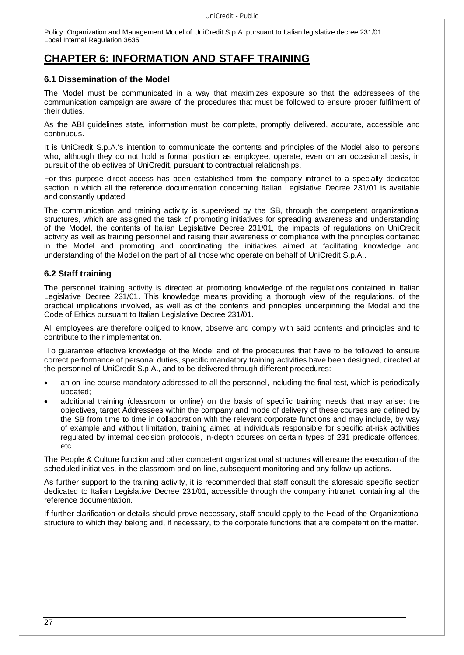# **CHAPTER 6: INFORMATION AND STAFF TRAINING**

# **6.1 Dissemination of the Model**

The Model must be communicated in a way that maximizes exposure so that the addressees of the communication campaign are aware of the procedures that must be followed to ensure proper fulfilment of their duties.

As the ABI guidelines state, information must be complete, promptly delivered, accurate, accessible and continuous.

It is UniCredit S.p.A.'s intention to communicate the contents and principles of the Model also to persons who, although they do not hold a formal position as employee, operate, even on an occasional basis, in pursuit of the objectives of UniCredit, pursuant to contractual relationships.

For this purpose direct access has been established from the company intranet to a specially dedicated section in which all the reference documentation concerning Italian Legislative Decree 231/01 is available and constantly updated.

The communication and training activity is supervised by the SB, through the competent organizational structures, which are assigned the task of promoting initiatives for spreading awareness and understanding of the Model, the contents of Italian Legislative Decree 231/01, the impacts of regulations on UniCredit activity as well as training personnel and raising their awareness of compliance with the principles contained in the Model and promoting and coordinating the initiatives aimed at facilitating knowledge and understanding of the Model on the part of all those who operate on behalf of UniCredit S.p.A..

# **6.2 Staff training**

The personnel training activity is directed at promoting knowledge of the regulations contained in Italian Legislative Decree 231/01. This knowledge means providing a thorough view of the regulations, of the practical implications involved, as well as of the contents and principles underpinning the Model and the Code of Ethics pursuant to Italian Legislative Decree 231/01.

All employees are therefore obliged to know, observe and comply with said contents and principles and to contribute to their implementation.

 To guarantee effective knowledge of the Model and of the procedures that have to be followed to ensure correct performance of personal duties, specific mandatory training activities have been designed, directed at the personnel of UniCredit S.p.A., and to be delivered through different procedures:

- an on-line course mandatory addressed to all the personnel, including the final test, which is periodically updated;
- additional training (classroom or online) on the basis of specific training needs that may arise: the objectives, target Addressees within the company and mode of delivery of these courses are defined by the SB from time to time in collaboration with the relevant corporate functions and may include, by way of example and without limitation, training aimed at individuals responsible for specific at-risk activities regulated by internal decision protocols, in-depth courses on certain types of 231 predicate offences, etc.

The People & Culture function and other competent organizational structures will ensure the execution of the scheduled initiatives, in the classroom and on-line, subsequent monitoring and any follow-up actions.

As further support to the training activity, it is recommended that staff consult the aforesaid specific section dedicated to Italian Legislative Decree 231/01, accessible through the company intranet, containing all the reference documentation.

If further clarification or details should prove necessary, staff should apply to the Head of the Organizational structure to which they belong and, if necessary, to the corporate functions that are competent on the matter.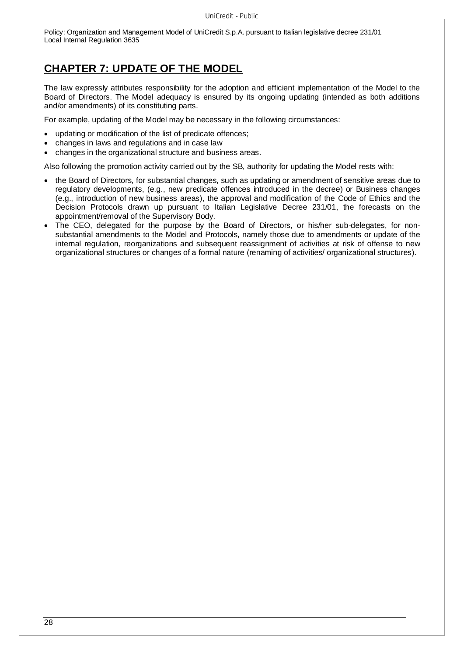# **CHAPTER 7: UPDATE OF THE MODEL**

The law expressly attributes responsibility for the adoption and efficient implementation of the Model to the Board of Directors. The Model adequacy is ensured by its ongoing updating (intended as both additions and/or amendments) of its constituting parts.

For example, updating of the Model may be necessary in the following circumstances:

- updating or modification of the list of predicate offences;
- changes in laws and regulations and in case law
- changes in the organizational structure and business areas.

Also following the promotion activity carried out by the SB, authority for updating the Model rests with:

- the Board of Directors, for substantial changes, such as updating or amendment of sensitive areas due to regulatory developments, (e.g., new predicate offences introduced in the decree) or Business changes (e.g., introduction of new business areas), the approval and modification of the Code of Ethics and the Decision Protocols drawn up pursuant to Italian Legislative Decree 231/01, the forecasts on the appointment/removal of the Supervisory Body.
- The CEO, delegated for the purpose by the Board of Directors, or his/her sub-delegates, for nonsubstantial amendments to the Model and Protocols, namely those due to amendments or update of the internal regulation, reorganizations and subsequent reassignment of activities at risk of offense to new organizational structures or changes of a formal nature (renaming of activities/ organizational structures).